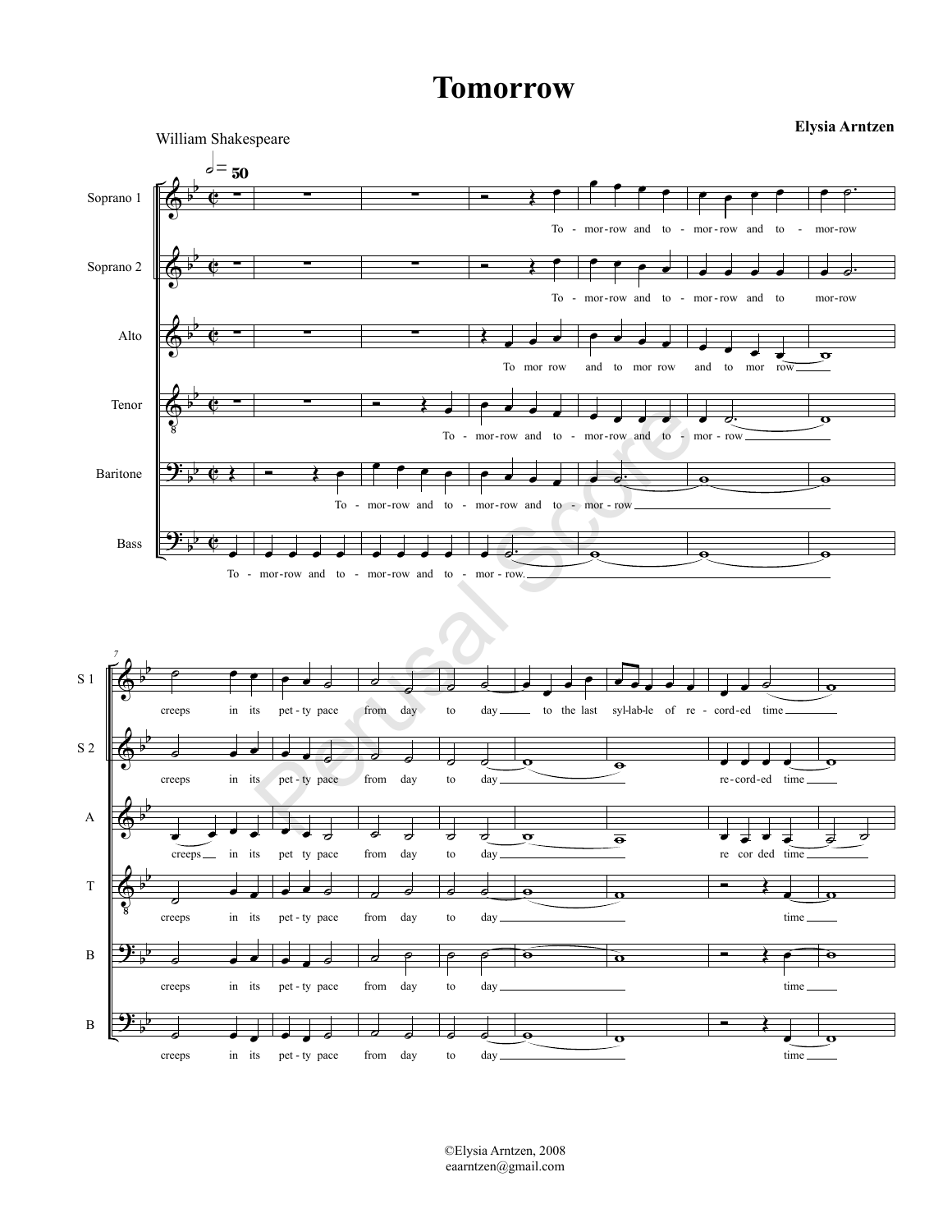## **Tomorrow**



©Elysia Arntzen, 2008 eaarntzen@gmail.com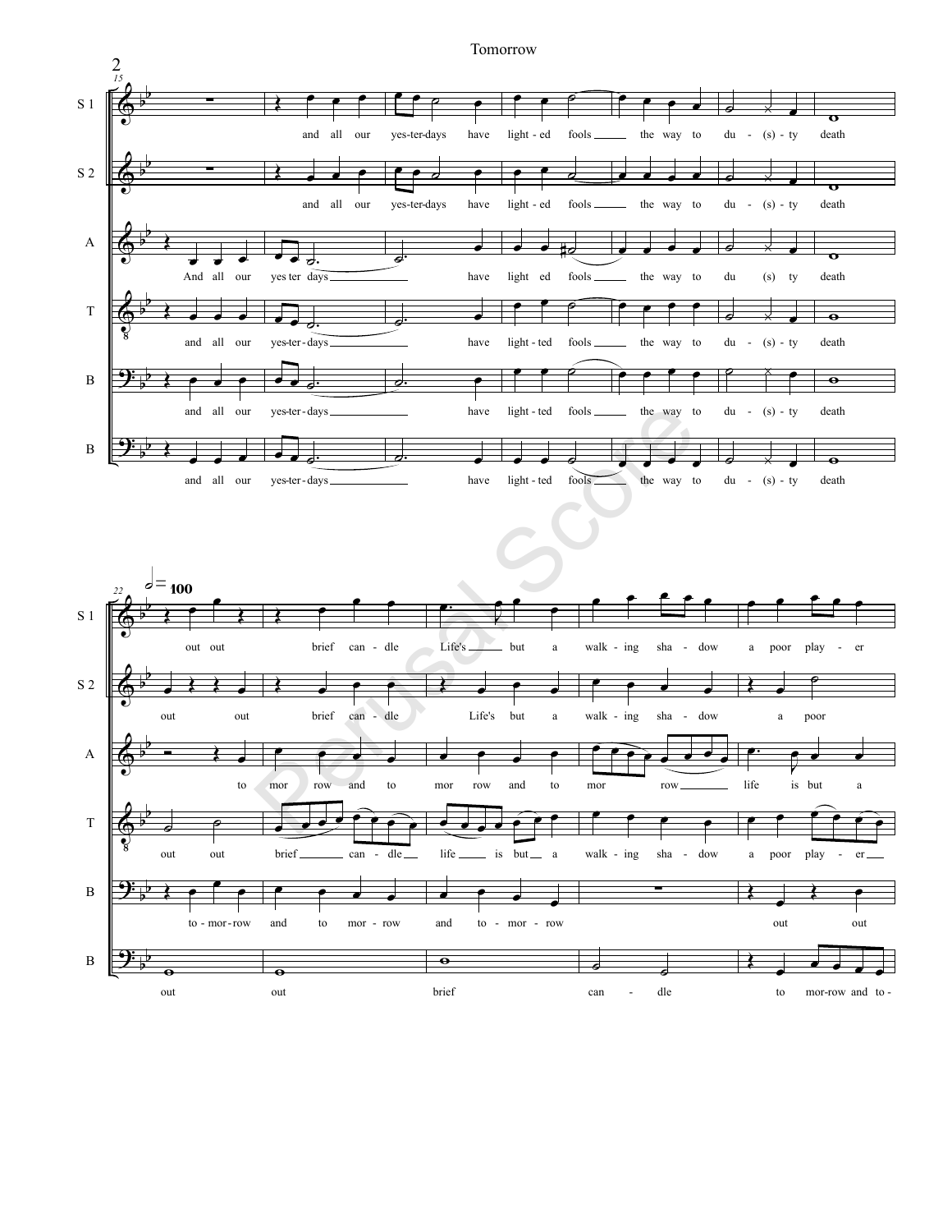## Tomorrow

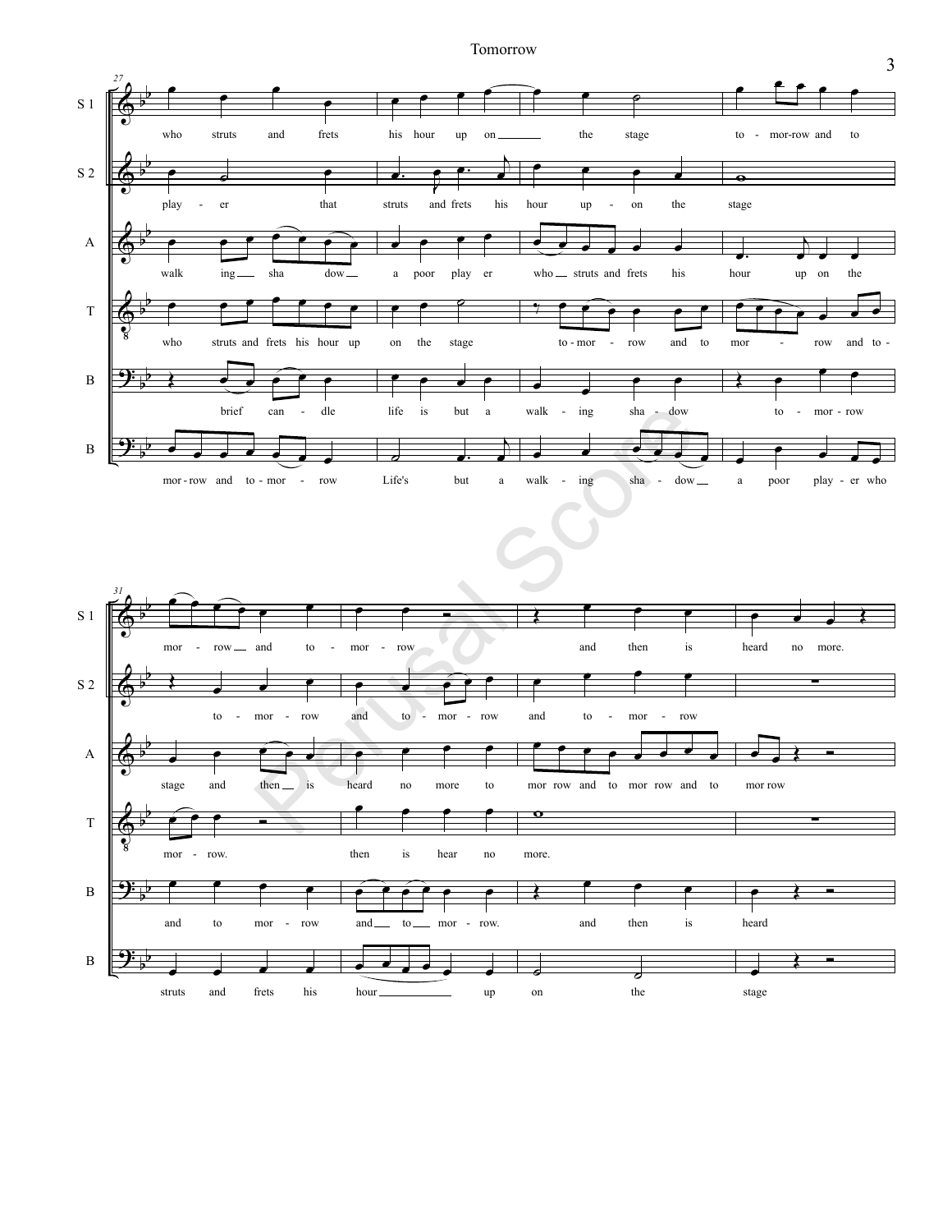Tomorrow